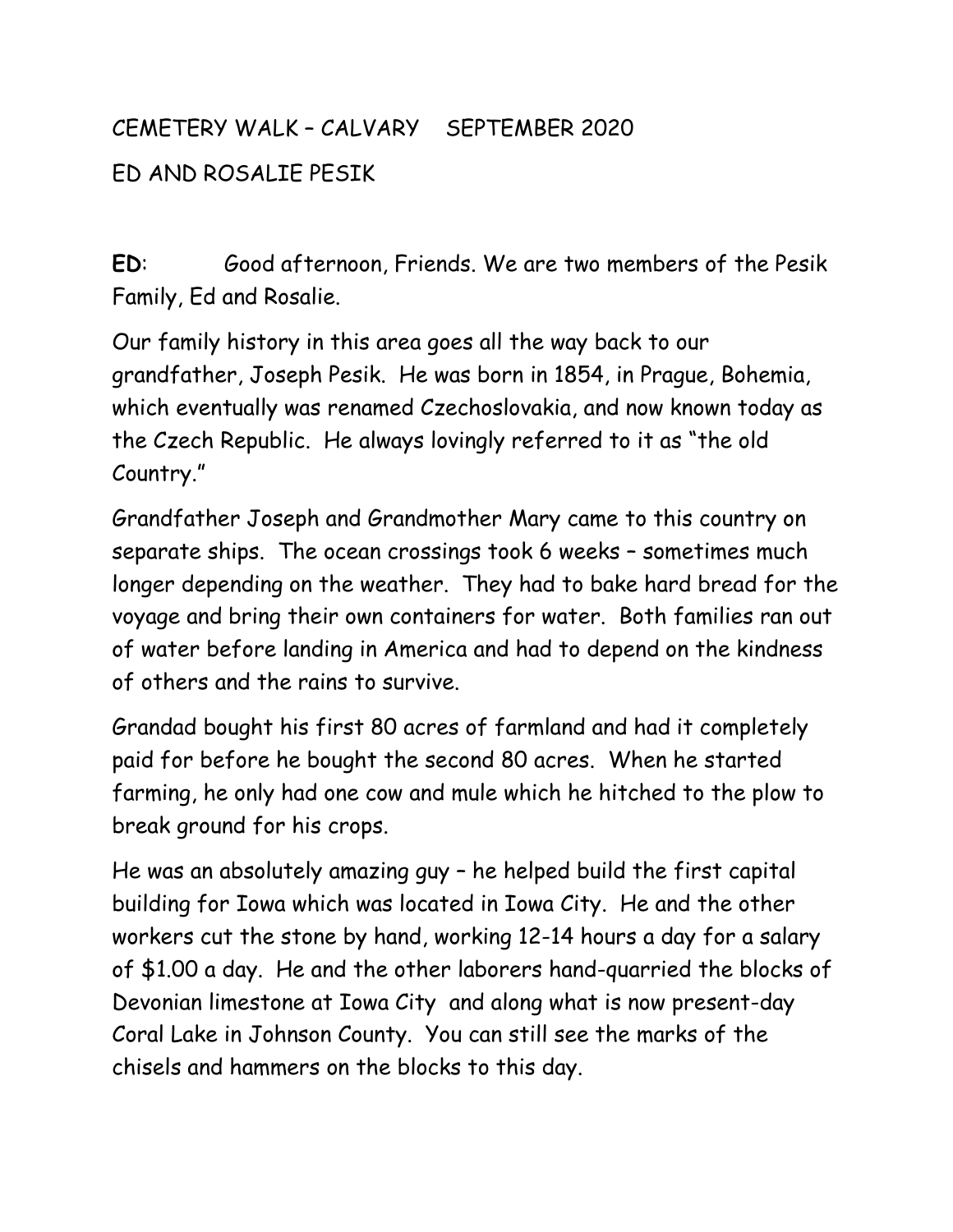## CEMETERY WALK – CALVARY SEPTEMBER 2020 ED AND ROSALIE PESIK

**ED**: Good afternoon, Friends. We are two members of the Pesik Family, Ed and Rosalie.

Our family history in this area goes all the way back to our grandfather, Joseph Pesik. He was born in 1854, in Prague, Bohemia, which eventually was renamed Czechoslovakia, and now known today as the Czech Republic. He always lovingly referred to it as "the old Country."

Grandfather Joseph and Grandmother Mary came to this country on separate ships. The ocean crossings took 6 weeks – sometimes much longer depending on the weather. They had to bake hard bread for the voyage and bring their own containers for water. Both families ran out of water before landing in America and had to depend on the kindness of others and the rains to survive.

Grandad bought his first 80 acres of farmland and had it completely paid for before he bought the second 80 acres. When he started farming, he only had one cow and mule which he hitched to the plow to break ground for his crops.

He was an absolutely amazing guy – he helped build the first capital building for Iowa which was located in Iowa City. He and the other workers cut the stone by hand, working 12-14 hours a day for a salary of \$1.00 a day. He and the other laborers hand-quarried the blocks of Devonian limestone at Iowa City and along what is now present-day Coral Lake in Johnson County. You can still see the marks of the chisels and hammers on the blocks to this day.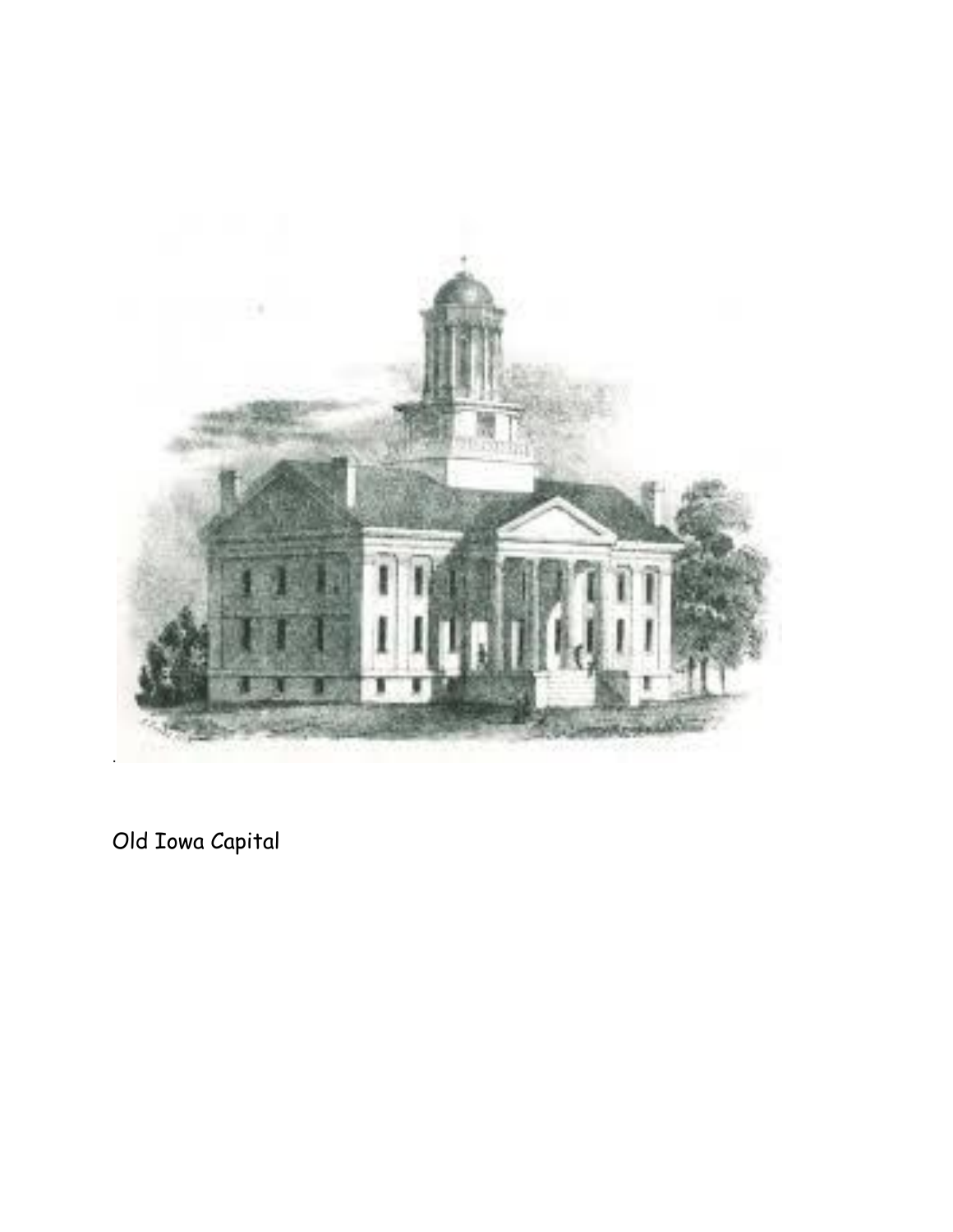

Old Iowa Capital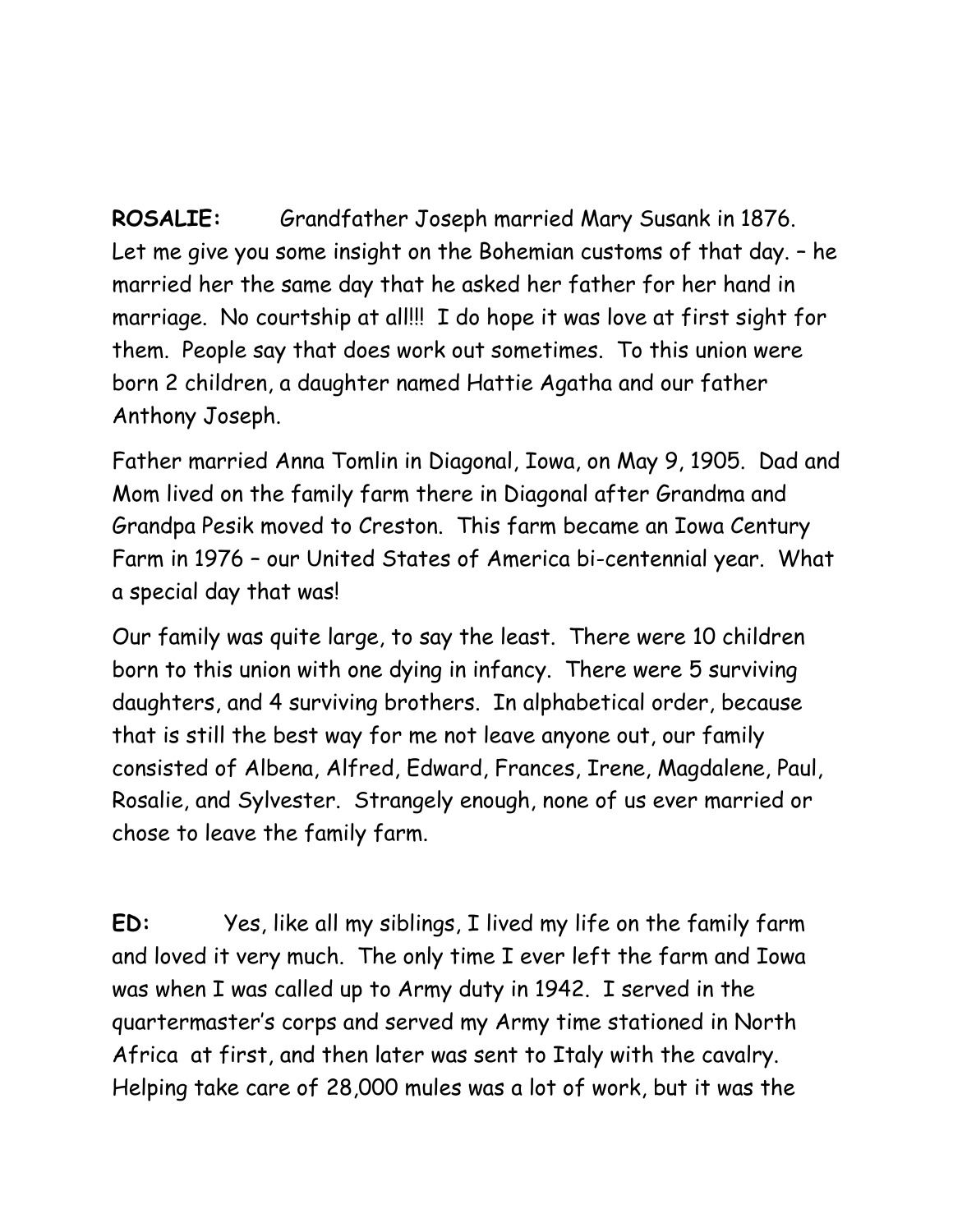**ROSALIE:** Grandfather Joseph married Mary Susank in 1876. Let me give you some insight on the Bohemian customs of that day. – he married her the same day that he asked her father for her hand in marriage. No courtship at all!!! I do hope it was love at first sight for them. People say that does work out sometimes. To this union were born 2 children, a daughter named Hattie Agatha and our father Anthony Joseph.

Father married Anna Tomlin in Diagonal, Iowa, on May 9, 1905. Dad and Mom lived on the family farm there in Diagonal after Grandma and Grandpa Pesik moved to Creston. This farm became an Iowa Century Farm in 1976 – our United States of America bi-centennial year. What a special day that was!

Our family was quite large, to say the least. There were 10 children born to this union with one dying in infancy. There were 5 surviving daughters, and 4 surviving brothers. In alphabetical order, because that is still the best way for me not leave anyone out, our family consisted of Albena, Alfred, Edward, Frances, Irene, Magdalene, Paul, Rosalie, and Sylvester. Strangely enough, none of us ever married or chose to leave the family farm.

**ED:** Yes, like all my siblings, I lived my life on the family farm and loved it very much. The only time I ever left the farm and Iowa was when I was called up to Army duty in 1942. I served in the quartermaster's corps and served my Army time stationed in North Africa at first, and then later was sent to Italy with the cavalry. Helping take care of 28,000 mules was a lot of work, but it was the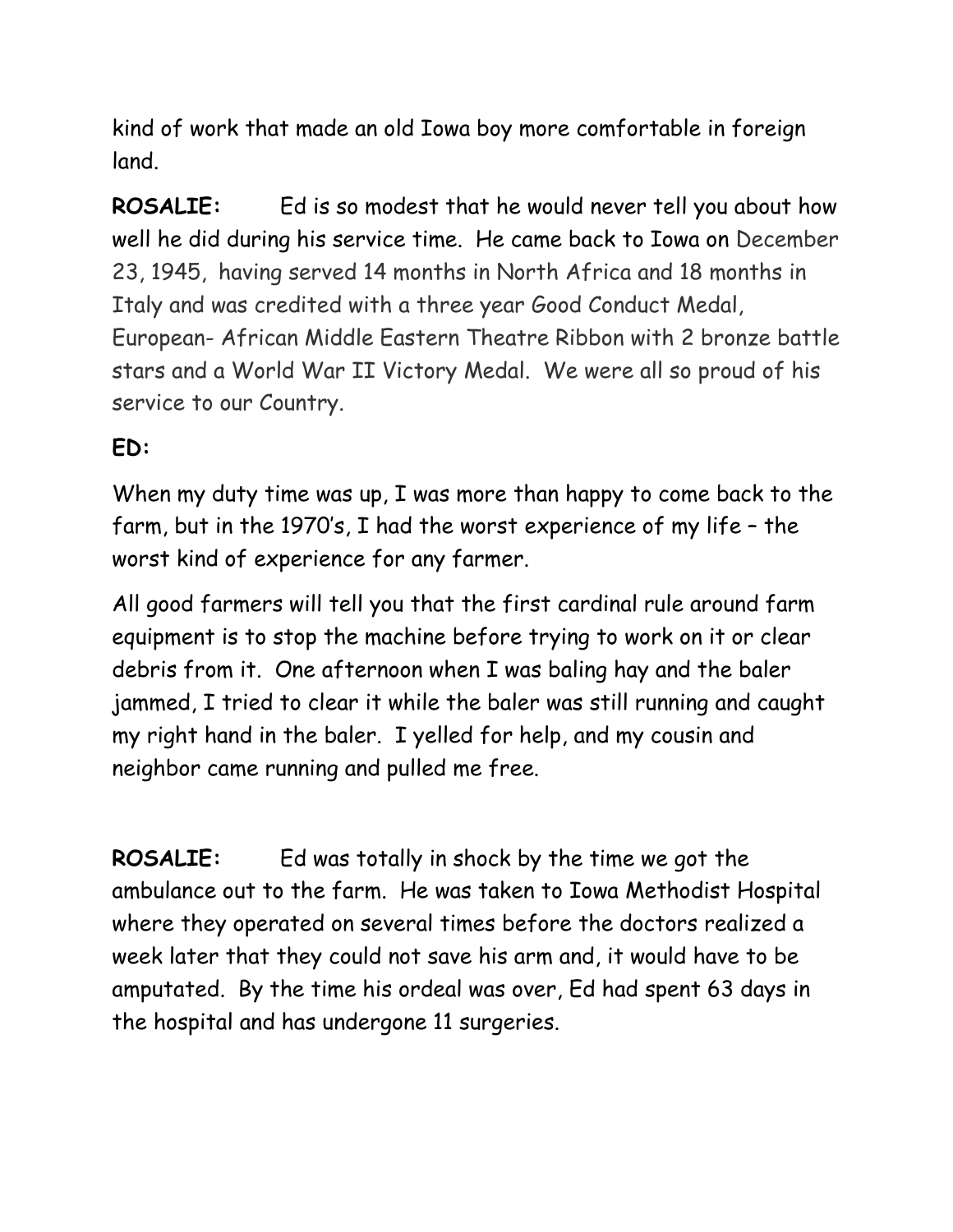kind of work that made an old Iowa boy more comfortable in foreign land.

**ROSALIE:** Ed is so modest that he would never tell you about how well he did during his service time. He came back to Iowa on December 23, 1945, having served 14 months in North Africa and 18 months in Italy and was credited with a three year Good Conduct Medal, European- African Middle Eastern Theatre Ribbon with 2 bronze battle stars and a World War II Victory Medal. We were all so proud of his service to our Country.

## **ED:**

When my duty time was up, I was more than happy to come back to the farm, but in the 1970's, I had the worst experience of my life – the worst kind of experience for any farmer.

All good farmers will tell you that the first cardinal rule around farm equipment is to stop the machine before trying to work on it or clear debris from it. One afternoon when I was baling hay and the baler jammed, I tried to clear it while the baler was still running and caught my right hand in the baler. I yelled for help, and my cousin and neighbor came running and pulled me free.

**ROSALIE:** Ed was totally in shock by the time we got the ambulance out to the farm. He was taken to Iowa Methodist Hospital where they operated on several times before the doctors realized a week later that they could not save his arm and, it would have to be amputated. By the time his ordeal was over, Ed had spent 63 days in the hospital and has undergone 11 surgeries.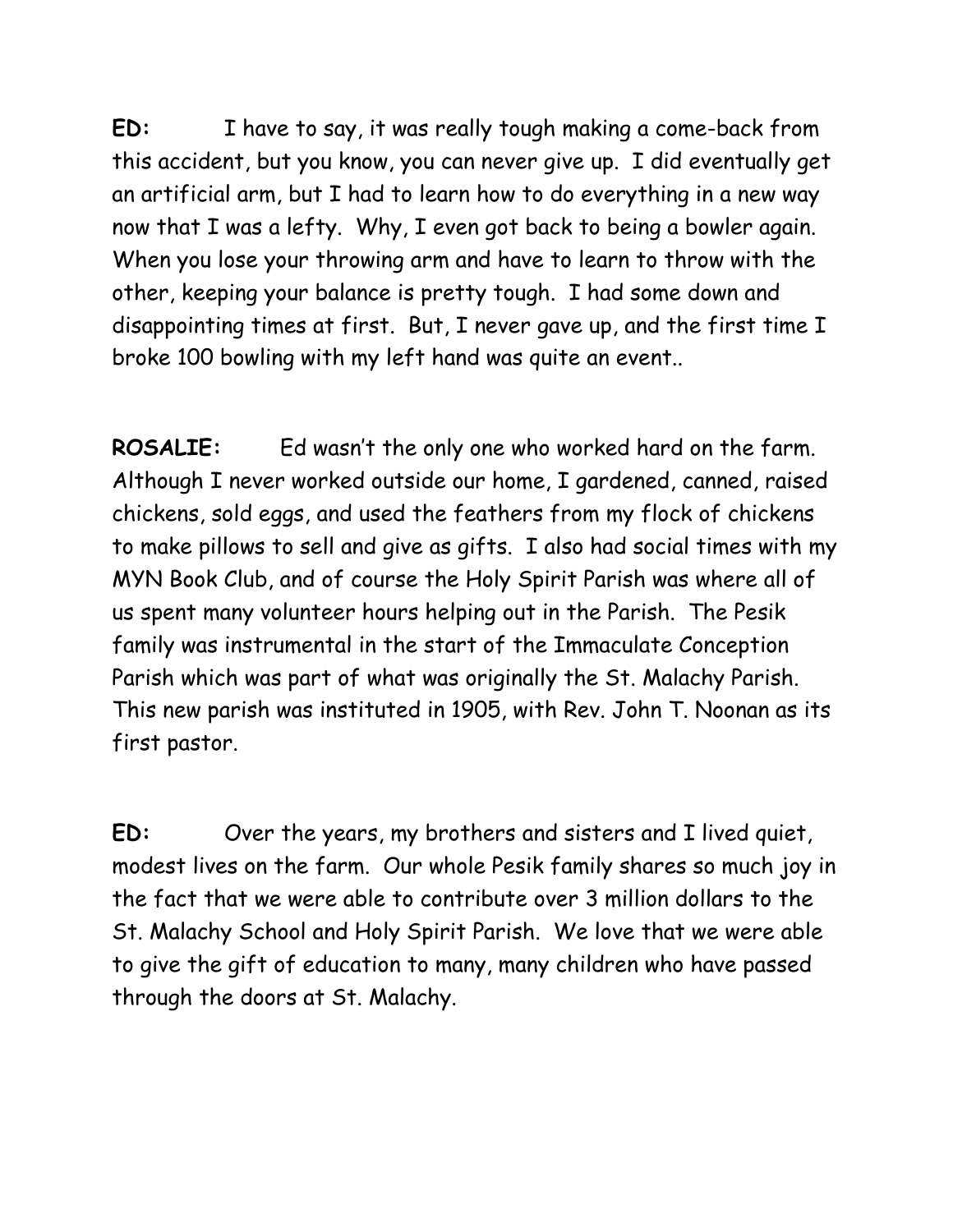**ED:** I have to say, it was really tough making a come-back from this accident, but you know, you can never give up. I did eventually get an artificial arm, but I had to learn how to do everything in a new way now that I was a lefty. Why, I even got back to being a bowler again. When you lose your throwing arm and have to learn to throw with the other, keeping your balance is pretty tough. I had some down and disappointing times at first. But, I never gave up, and the first time I broke 100 bowling with my left hand was quite an event..

**ROSALIE:** Ed wasn't the only one who worked hard on the farm. Although I never worked outside our home, I gardened, canned, raised chickens, sold eggs, and used the feathers from my flock of chickens to make pillows to sell and give as gifts. I also had social times with my MYN Book Club, and of course the Holy Spirit Parish was where all of us spent many volunteer hours helping out in the Parish. The Pesik family was instrumental in the start of the Immaculate Conception Parish which was part of what was originally the St. Malachy Parish. This new parish was instituted in 1905, with Rev. John T. Noonan as its first pastor.

**ED:** Over the years, my brothers and sisters and I lived quiet, modest lives on the farm. Our whole Pesik family shares so much joy in the fact that we were able to contribute over 3 million dollars to the St. Malachy School and Holy Spirit Parish. We love that we were able to give the gift of education to many, many children who have passed through the doors at St. Malachy.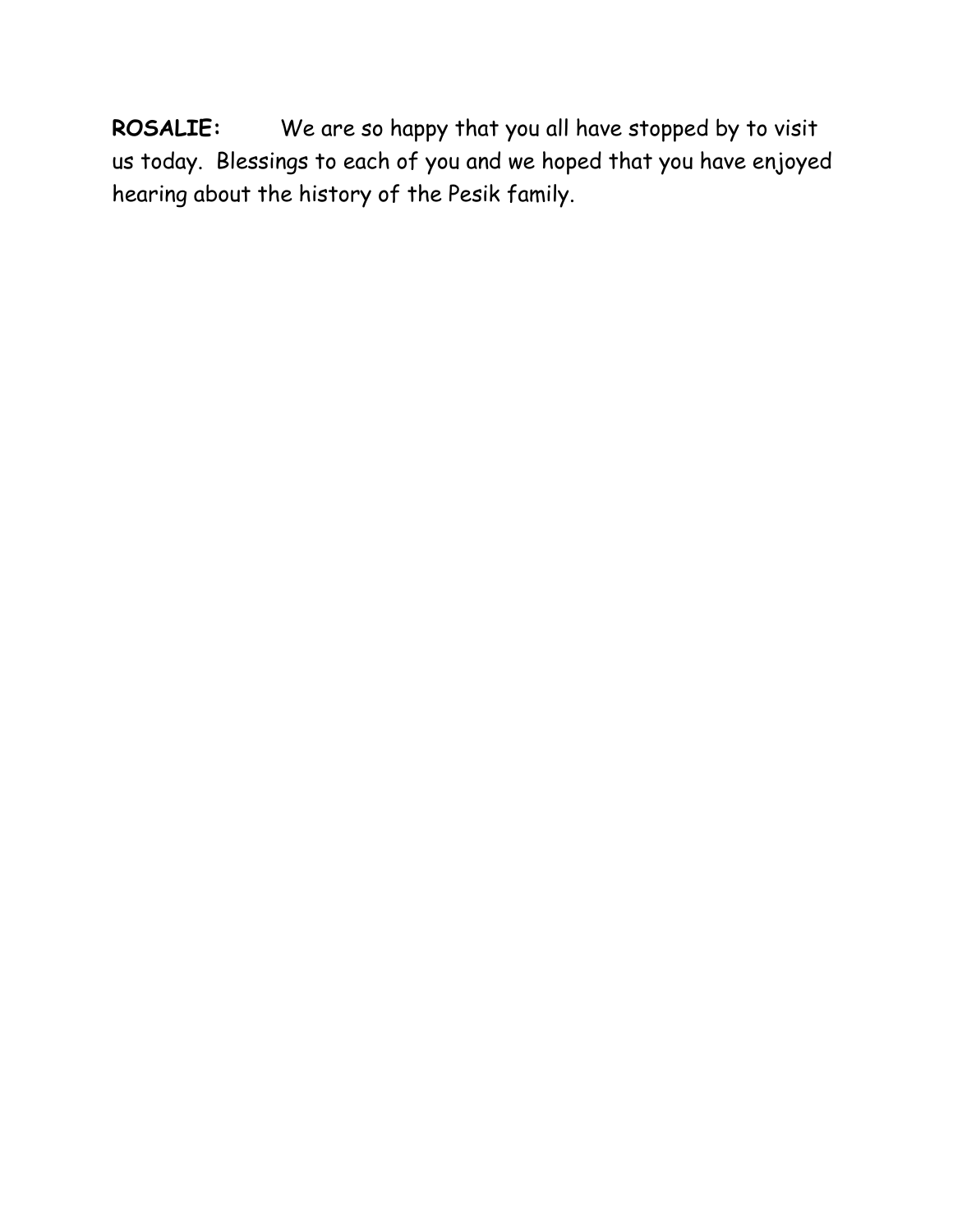**ROSALIE:** We are so happy that you all have stopped by to visit us today. Blessings to each of you and we hoped that you have enjoyed hearing about the history of the Pesik family.